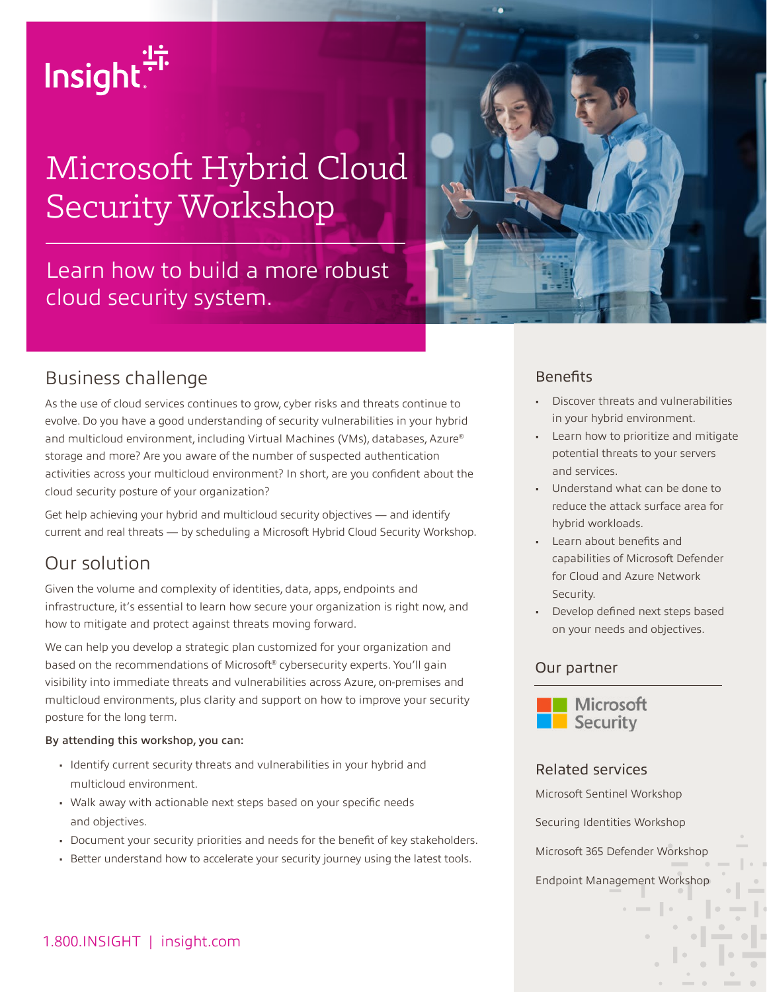

# Microsoft Hybrid Cloud Security Workshop

# Learn how to build a more robust cloud security system.



### Business challenge

As the use of cloud services continues to grow, cyber risks and threats continue to evolve. Do you have a good understanding of security vulnerabilities in your hybrid and multicloud environment, including Virtual Machines (VMs), databases, Azure® storage and more? Are you aware of the number of suspected authentication activities across your multicloud environment? In short, are you confident about the cloud security posture of your organization?

Get help achieving your hybrid and multicloud security objectives — and identify current and real threats — by scheduling a Microsoft Hybrid Cloud Security Workshop.

### Our solution

Given the volume and complexity of identities, data, apps, endpoints and infrastructure, it's essential to learn how secure your organization is right now, and how to mitigate and protect against threats moving forward.

We can help you develop a strategic plan customized for your organization and based on the recommendations of Microsoft® cybersecurity experts. You'll gain visibility into immediate threats and vulnerabilities across Azure, on-premises and multicloud environments, plus clarity and support on how to improve your security posture for the long term.

#### By attending this workshop, you can:

- Identify current security threats and vulnerabilities in your hybrid and multicloud environment.
- Walk away with actionable next steps based on your specific needs and objectives.
- Document your security priorities and needs for the benefit of key stakeholders.
- Better understand how to accelerate your security journey using the latest tools.

#### **Benefits**

- Discover threats and vulnerabilities in your hybrid environment.
- Learn how to prioritize and mitigate potential threats to your servers and services.
- Understand what can be done to reduce the attack surface area for hybrid workloads.
- Learn about benefits and capabilities of Microsoft Defender for Cloud and Azure Network Security.
- Develop defined next steps based on your needs and objectives.

#### Our partner



#### Related services

Microsoft Sentinel Workshop

Securing Identities Workshop

Microsoft 365 Defender Workshop

Endpoint Management Workshop